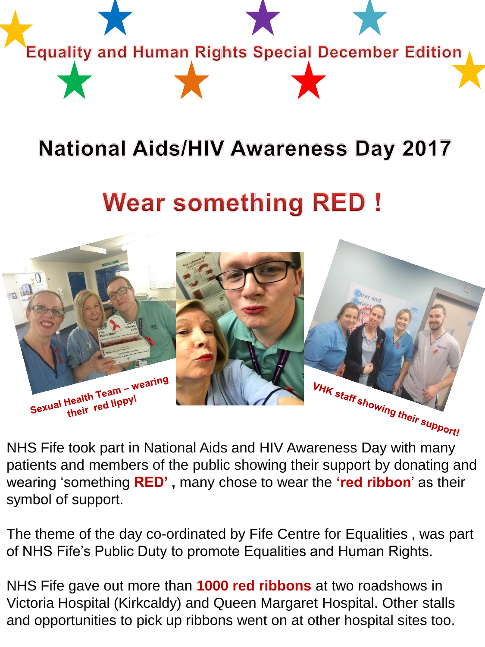

## **National Aids/HIV Awareness Day 2017**

## **Wear something RED!**



patients and members of the public showing their support by donating and wearing 'something **RED' ,** many chose to wear the **'red ribbon**' as their symbol of support.

The theme of the day co-ordinated by Fife Centre for Equalities , was part of NHS Fife's Public Duty to promote Equalities and Human Rights.

NHS Fife gave out more than **1000 red ribbons** at two roadshows in Victoria Hospital (Kirkcaldy) and Queen Margaret Hospital. Other stalls and opportunities to pick up ribbons went on at other hospital sites too.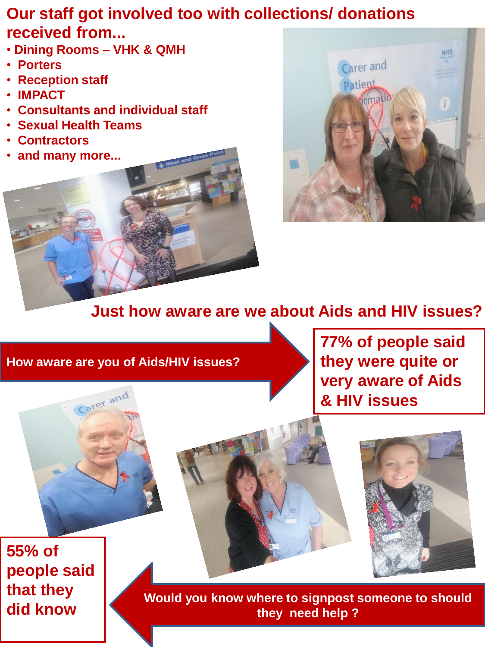## **Our staff got involved too with collections/ donations received from...**

- **Dining Rooms – VHK & QMH**
- **Porters**
- **Reception staff**
- **IMPACT**
- • **Consultants and individual staff**
- • **Sexual Health Teams**
- **Contractors**
- **and many more...**





## **Just how aware are we about Aids and HIV issues?**

**How aware are you of Aids/HIV issues?** 

Carer and

**77% of people said they were quite or very aware of Aids & HIV issues** 



**55% of people said that they did know**

**Would you know where to signpost someone to should they need help ?**